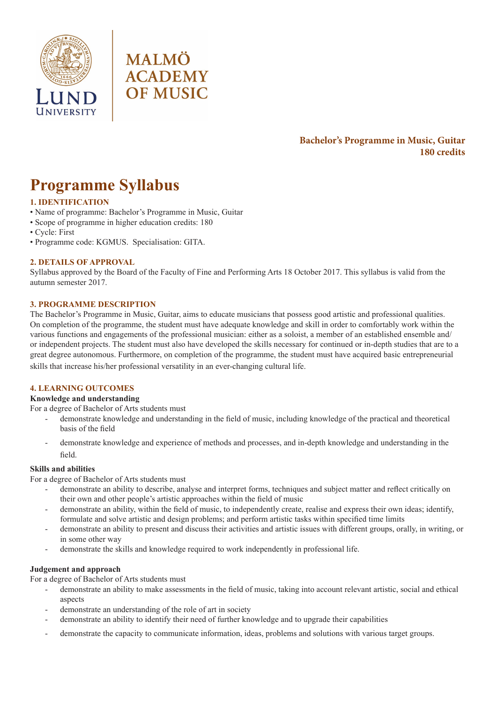



# **Bachelor's Programme in Music, Guitar 180 credits**

# **Programme Syllabus**

# **1. IDENTIFICATION**

- Name of programme: Bachelor's Programme in Music, Guitar
- Scope of programme in higher education credits: 180
- Cycle: First
- Programme code: KGMUS. Specialisation: GITA.

## **2. DETAILS OF APPROVAL**

Syllabus approved by the Board of the Faculty of Fine and Performing Arts 18 October 2017. This syllabus is valid from the autumn semester 2017.

## **3. PROGRAMME DESCRIPTION**

The Bachelor's Programme in Music, Guitar, aims to educate musicians that possess good artistic and professional qualities. On completion of the programme, the student must have adequate knowledge and skill in order to comfortably work within the various functions and engagements of the professional musician: either as a soloist, a member of an established ensemble and/ or independent projects. The student must also have developed the skills necessary for continued or in-depth studies that are to a great degree autonomous. Furthermore, on completion of the programme, the student must have acquired basic entrepreneurial skills that increase his/her professional versatility in an ever-changing cultural life.

## **4. LEARNING OUTCOMES**

## **Knowledge and understanding**

For a degree of Bachelor of Arts students must

- demonstrate knowledge and understanding in the field of music, including knowledge of the practical and theoretical basis of the field
- demonstrate knowledge and experience of methods and processes, and in-depth knowledge and understanding in the field.

## **Skills and abilities**

For a degree of Bachelor of Arts students must

- demonstrate an ability to describe, analyse and interpret forms, techniques and subject matter and reflect critically on their own and other people's artistic approaches within the field of music
- demonstrate an ability, within the field of music, to independently create, realise and express their own ideas; identify, formulate and solve artistic and design problems; and perform artistic tasks within specified time limits
- demonstrate an ability to present and discuss their activities and artistic issues with different groups, orally, in writing, or in some other way
- demonstrate the skills and knowledge required to work independently in professional life.

## **Judgement and approach**

For a degree of Bachelor of Arts students must

- demonstrate an ability to make assessments in the field of music, taking into account relevant artistic, social and ethical aspects
- demonstrate an understanding of the role of art in society
- demonstrate an ability to identify their need of further knowledge and to upgrade their capabilities
- demonstrate the capacity to communicate information, ideas, problems and solutions with various target groups.